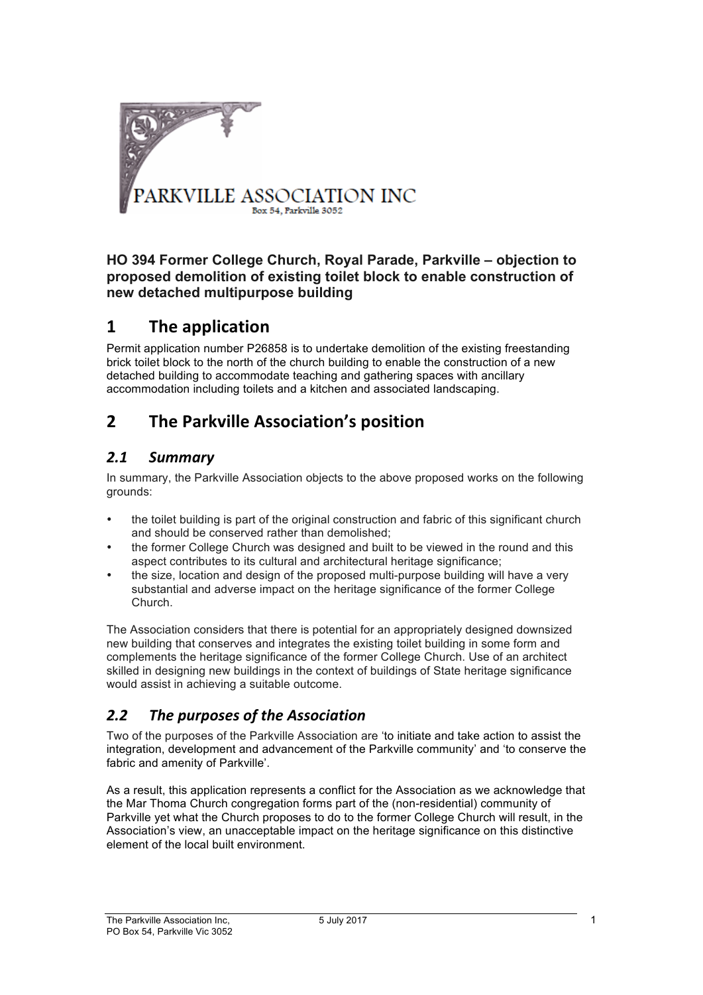

#### **HO 394 Former College Church, Royal Parade, Parkville – objection to proposed demolition of existing toilet block to enable construction of new detached multipurpose building**

### **1 The application**

Permit application number P26858 is to undertake demolition of the existing freestanding brick toilet block to the north of the church building to enable the construction of a new detached building to accommodate teaching and gathering spaces with ancillary accommodation including toilets and a kitchen and associated landscaping.

## **2** The Parkville Association's position

### *2.1 Summary*

In summary, the Parkville Association objects to the above proposed works on the following grounds:

- the toilet building is part of the original construction and fabric of this significant church and should be conserved rather than demolished;
- the former College Church was designed and built to be viewed in the round and this aspect contributes to its cultural and architectural heritage significance;
- the size, location and design of the proposed multi-purpose building will have a very substantial and adverse impact on the heritage significance of the former College Church.

The Association considers that there is potential for an appropriately designed downsized new building that conserves and integrates the existing toilet building in some form and complements the heritage significance of the former College Church. Use of an architect skilled in designing new buildings in the context of buildings of State heritage significance would assist in achieving a suitable outcome.

### 2.2 The purposes of the Association

Two of the purposes of the Parkville Association are 'to initiate and take action to assist the integration, development and advancement of the Parkville community' and 'to conserve the fabric and amenity of Parkville'.

As a result, this application represents a conflict for the Association as we acknowledge that the Mar Thoma Church congregation forms part of the (non-residential) community of Parkville yet what the Church proposes to do to the former College Church will result, in the Association's view, an unacceptable impact on the heritage significance on this distinctive element of the local built environment.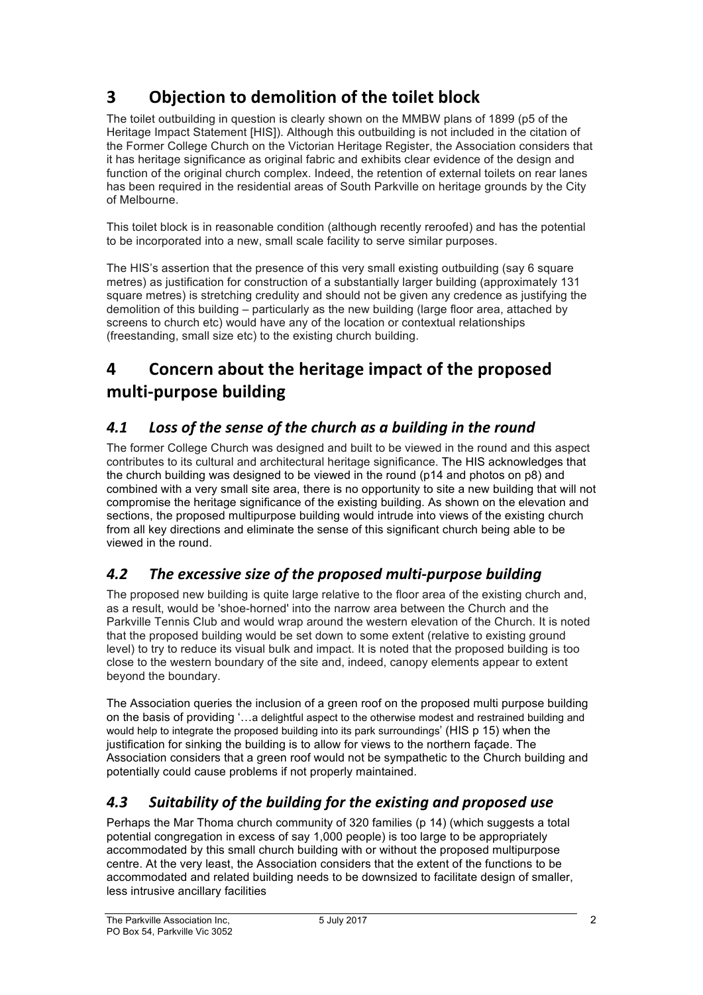# **3 Objection to demolition of the toilet block**

The toilet outbuilding in question is clearly shown on the MMBW plans of 1899 (p5 of the Heritage Impact Statement [HIS]). Although this outbuilding is not included in the citation of the Former College Church on the Victorian Heritage Register, the Association considers that it has heritage significance as original fabric and exhibits clear evidence of the design and function of the original church complex. Indeed, the retention of external toilets on rear lanes has been required in the residential areas of South Parkville on heritage grounds by the City of Melbourne.

This toilet block is in reasonable condition (although recently reroofed) and has the potential to be incorporated into a new, small scale facility to serve similar purposes.

The HIS's assertion that the presence of this very small existing outbuilding (say 6 square metres) as justification for construction of a substantially larger building (approximately 131 square metres) is stretching credulity and should not be given any credence as justifying the demolition of this building – particularly as the new building (large floor area, attached by screens to church etc) would have any of the location or contextual relationships (freestanding, small size etc) to the existing church building.

## **4 Concern about the heritage impact of the proposed multi-purpose building**

### 4.1 Loss of the sense of the church as a building in the round

The former College Church was designed and built to be viewed in the round and this aspect contributes to its cultural and architectural heritage significance. The HIS acknowledges that the church building was designed to be viewed in the round (p14 and photos on p8) and combined with a very small site area, there is no opportunity to site a new building that will not compromise the heritage significance of the existing building. As shown on the elevation and sections, the proposed multipurpose building would intrude into views of the existing church from all key directions and eliminate the sense of this significant church being able to be viewed in the round.

#### 4.2 The excessive size of the proposed multi-purpose building

The proposed new building is quite large relative to the floor area of the existing church and, as a result, would be 'shoe-horned' into the narrow area between the Church and the Parkville Tennis Club and would wrap around the western elevation of the Church. It is noted that the proposed building would be set down to some extent (relative to existing ground level) to try to reduce its visual bulk and impact. It is noted that the proposed building is too close to the western boundary of the site and, indeed, canopy elements appear to extent beyond the boundary.

The Association queries the inclusion of a green roof on the proposed multi purpose building on the basis of providing '…a delightful aspect to the otherwise modest and restrained building and would help to integrate the proposed building into its park surroundings' (HIS p 15) when the justification for sinking the building is to allow for views to the northern façade. The Association considers that a green roof would not be sympathetic to the Church building and potentially could cause problems if not properly maintained.

### 4.3 Suitability of the building for the existing and proposed use

Perhaps the Mar Thoma church community of 320 families (p 14) (which suggests a total potential congregation in excess of say 1,000 people) is too large to be appropriately accommodated by this small church building with or without the proposed multipurpose centre. At the very least, the Association considers that the extent of the functions to be accommodated and related building needs to be downsized to facilitate design of smaller, less intrusive ancillary facilities